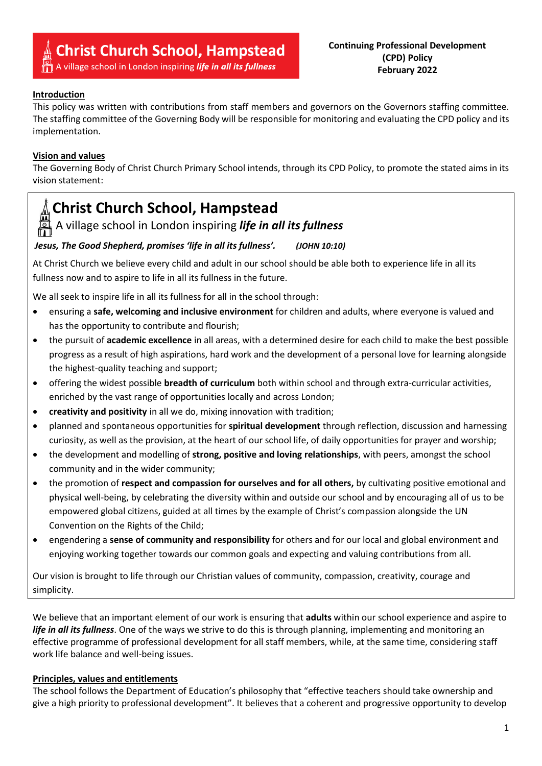# **Christ Church School, Hampstead**<br>A village school in London inspiring *life in all its fullness*

### **Introduction**

This policy was written with contributions from staff members and governors on the Governors staffing committee. The staffing committee of the Governing Body will be responsible for monitoring and evaluating the CPD policy and its implementation.

#### **Vision and values**

The Governing Body of Christ Church Primary School intends, through its CPD Policy, to promote the stated aims in its vision statement: 

## **Christ Church School, Hampstead**

A village school in London inspiring *life in all its fullness*

#### *Jesus, The Good Shepherd, promises 'life in all its fullness'. (JOHN 10:10)*

At Christ Church we believe every child and adult in our school should be able both to experience life in all its fullness now and to aspire to life in all its fullness in the future.

We all seek to inspire life in all its fullness for all in the school through:

- ensuring a **safe, welcoming and inclusive environment** for children and adults, where everyone is valued and has the opportunity to contribute and flourish;
- the pursuit of **academic excellence** in all areas, with a determined desire for each child to make the best possible progress as a result of high aspirations, hard work and the development of a personal love for learning alongside the highest-quality teaching and support;
- offering the widest possible **breadth of curriculum** both within school and through extra-curricular activities, enriched by the vast range of opportunities locally and across London;
- **creativity and positivity** in all we do, mixing innovation with tradition;
- planned and spontaneous opportunities for **spiritual development** through reflection, discussion and harnessing curiosity, as well as the provision, at the heart of our school life, of daily opportunities for prayer and worship;
- the development and modelling of **strong, positive and loving relationships**, with peers, amongst the school community and in the wider community;
- the promotion of **respect and compassion for ourselves and for all others,** by cultivating positive emotional and physical well-being, by celebrating the diversity within and outside our school and by encouraging all of us to be empowered global citizens, guided at all times by the example of Christ's compassion alongside the UN Convention on the Rights of the Child;
- engendering a **sense of community and responsibility** for others and for our local and global environment and enjoying working together towards our common goals and expecting and valuing contributions from all.

Our vision is brought to life through our Christian values of community, compassion, creativity, courage and simplicity.

We believe that an important element of our work is ensuring that **adults** within our school experience and aspire to *life in all its fullness*. One of the ways we strive to do this is through planning, implementing and monitoring an effective programme of professional development for all staff members, while, at the same time, considering staff work life balance and well-being issues.

### **Principles, values and entitlements**

The school follows the Department of Education's philosophy that "effective teachers should take ownership and give a high priority to professional development". It believes that a coherent and progressive opportunity to develop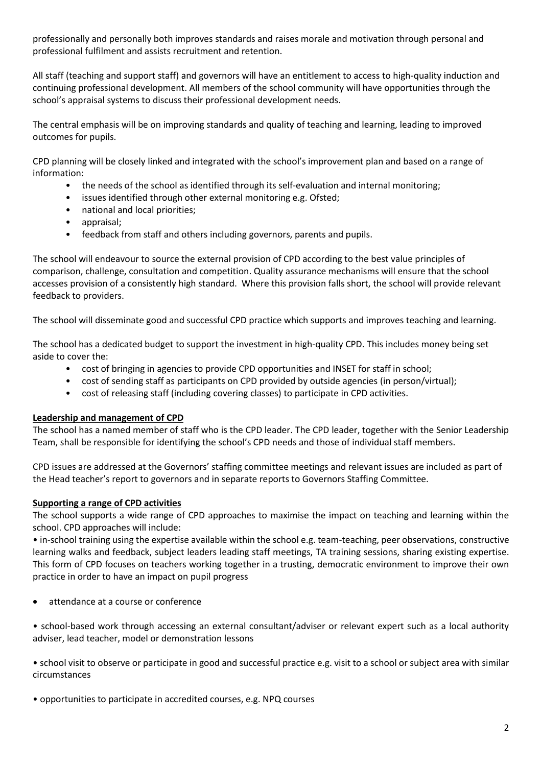professionally and personally both improves standards and raises morale and motivation through personal and professional fulfilment and assists recruitment and retention.

All staff (teaching and support staff) and governors will have an entitlement to access to high-quality induction and continuing professional development. All members of the school community will have opportunities through the school's appraisal systems to discuss their professional development needs.

The central emphasis will be on improving standards and quality of teaching and learning, leading to improved outcomes for pupils.

CPD planning will be closely linked and integrated with the school's improvement plan and based on a range of information:

- the needs of the school as identified through its self-evaluation and internal monitoring;
- issues identified through other external monitoring e.g. Ofsted;
- national and local priorities;
- appraisal;
- feedback from staff and others including governors, parents and pupils.

The school will endeavour to source the external provision of CPD according to the best value principles of comparison, challenge, consultation and competition. Quality assurance mechanisms will ensure that the school accesses provision of a consistently high standard. Where this provision falls short, the school will provide relevant feedback to providers.

The school will disseminate good and successful CPD practice which supports and improves teaching and learning.

The school has a dedicated budget to support the investment in high-quality CPD. This includes money being set aside to cover the:

- cost of bringing in agencies to provide CPD opportunities and INSET for staff in school;
- cost of sending staff as participants on CPD provided by outside agencies (in person/virtual);
- cost of releasing staff (including covering classes) to participate in CPD activities.

#### **Leadership and management of CPD**

The school has a named member of staff who is the CPD leader. The CPD leader, together with the Senior Leadership Team, shall be responsible for identifying the school's CPD needs and those of individual staff members.

CPD issues are addressed at the Governors' staffing committee meetings and relevant issues are included as part of the Head teacher's report to governors and in separate reports to Governors Staffing Committee.

#### **Supporting a range of CPD activities**

The school supports a wide range of CPD approaches to maximise the impact on teaching and learning within the school. CPD approaches will include:

• in-school training using the expertise available within the school e.g. team-teaching, peer observations, constructive learning walks and feedback, subject leaders leading staff meetings, TA training sessions, sharing existing expertise. This form of CPD focuses on teachers working together in a trusting, democratic environment to improve their own practice in order to have an impact on pupil progress

attendance at a course or conference

• school-based work through accessing an external consultant/adviser or relevant expert such as a local authority adviser, lead teacher, model or demonstration lessons

• school visit to observe or participate in good and successful practice e.g. visit to a school or subject area with similar circumstances

• opportunities to participate in accredited courses, e.g. NPQ courses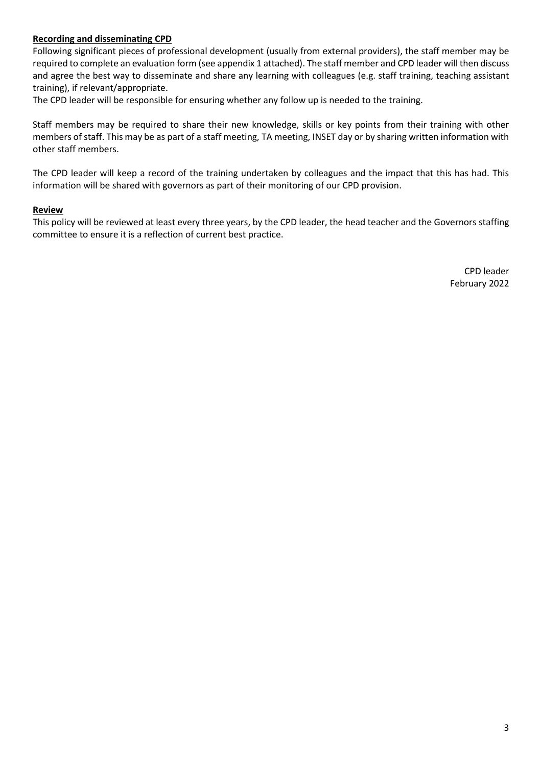#### **Recording and disseminating CPD**

Following significant pieces of professional development (usually from external providers), the staff member may be required to complete an evaluation form (see appendix 1 attached). The staff member and CPD leader will then discuss and agree the best way to disseminate and share any learning with colleagues (e.g. staff training, teaching assistant training), if relevant/appropriate.

The CPD leader will be responsible for ensuring whether any follow up is needed to the training.

Staff members may be required to share their new knowledge, skills or key points from their training with other members of staff. This may be as part of a staff meeting, TA meeting, INSET day or by sharing written information with other staff members.

The CPD leader will keep a record of the training undertaken by colleagues and the impact that this has had. This information will be shared with governors as part of their monitoring of our CPD provision.

#### **Review**

This policy will be reviewed at least every three years, by the CPD leader, the head teacher and the Governors staffing committee to ensure it is a reflection of current best practice.

> CPD leader February 2022